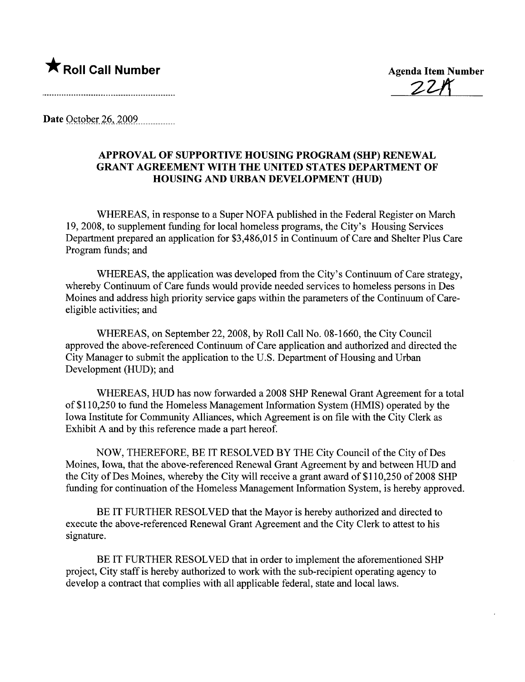**\* Roll Call Number** Agenda Item Number<br>22 Agenda Item Number

**Date October 26, 2009** 

## APPROVAL OF SUPPORTIVE HOUSING PROGRAM (SHP) RENEWAL GRANT AGREEMENT WITH THE UNITED STATES DEPARTMENT OF HOUSING AND URBAN DEVELOPMENT (HUD)

WHEREAS, in response to a Super NOFA published in the Federal Register on March 19,2008, to supplement fuding for local homeless programs, the City's Housing Services Deparment prepared an application for \$3,486,015 in Continuum of Care and Shelter Plus Care Program funds; and

WHEREAS, the application was developed from the City's Continuum of Care strategy, whereby Continuum of Care funds would provide needed services to homeless persons in Des Moines and address high priority service gaps within the parameters of the Continuum of Careeligible activities; and

WHEREAS, on September 22, 2008, by Roll Call No. 08-1660, the City Council approved the above-referenced Continuum of Care application and authorized and directed the City Manager to submit the application to the U.S. Department of Housing and Urban Development (HUD); and

WHEREAS, HUD has now forwarded a 2008 SHP Renewal Grant Agreement for a total of\$110,250 to fund the Homeless Management Information System (HMIS) operated by the Iowa Institute for Community Allances, which Agreement is on file with the City Clerk as Exhibit A and by this reference made a part hereof.

NOW, THEREFORE, BE IT RESOLVED BY THE City Council of the City of Des Moines, Iowa, that the above-referenced Renewal Grant Agreement by and between HUD and the City of Des Moines, whereby the City will receive a grant award of \$110,250 of 2008 SHP funding for continuation of the Homeless Management Information System, is hereby approved.

BE IT FURTHER RESOLVED that the Mayor is hereby authorized and directed to execute the above-referenced Renewal Grant Agreement and the City Clerk to attest to his signature.

BE IT FURTHER RESOLVED that in order to implement the aforementioned SHP project, City staff is hereby authorized to work with the sub-recipient operating agency to develop a contract that complies with all applicable federal, state and local laws.